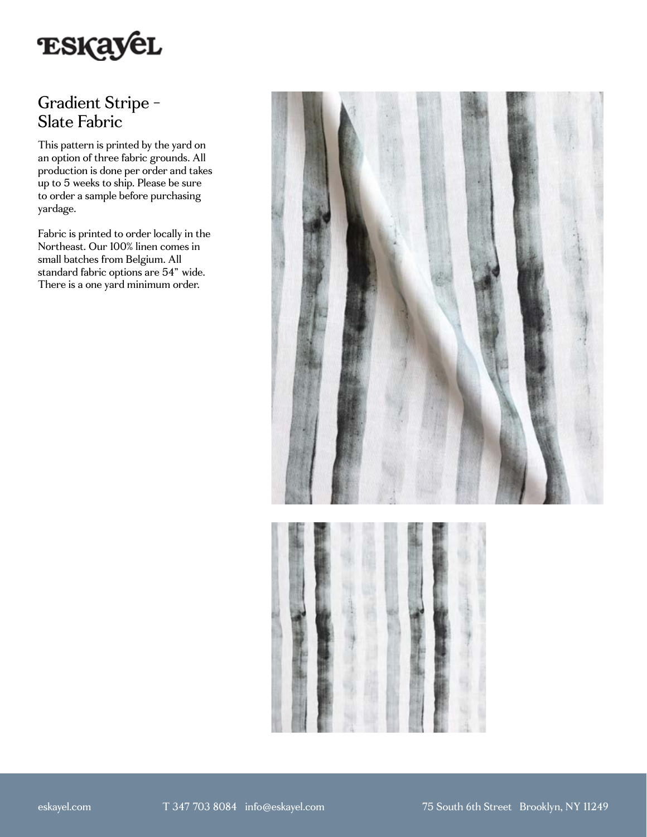

## Gradient Stripe - Slate Fabric

This pattern is printed by the yard on an option of three fabric grounds. All production is done per order and takes up to 5 weeks to ship. Please be sure to order a sample before purchasing yardage.

Fabric is printed to order locally in the Northeast. Our 100% linen comes in small batches from Belgium. All standard fabric options are 54" wide. There is a one yard minimum order.

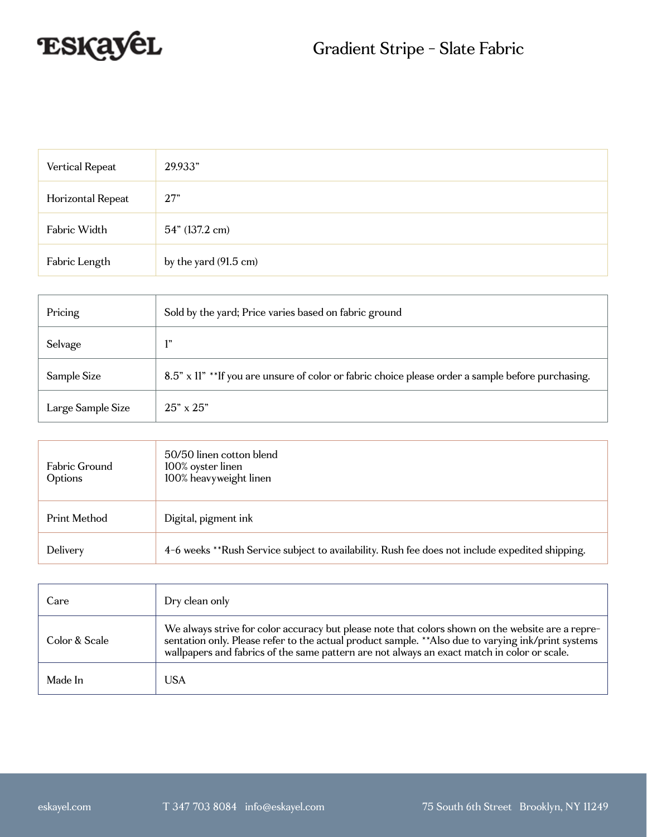

| Vertical Repeat   | 29.933"               |
|-------------------|-----------------------|
| Horizontal Repeat | 27"                   |
| Fabric Width      | 54" (137.2 cm)        |
| Fabric Length     | by the yard (91.5 cm) |

| Pricing           | Sold by the yard; Price varies based on fabric ground                                             |
|-------------------|---------------------------------------------------------------------------------------------------|
| Selvage           | 1"                                                                                                |
| Sample Size       | 8.5" x 11" **If you are unsure of color or fabric choice please order a sample before purchasing. |
| Large Sample Size | $25" \times 25"$                                                                                  |

| Fabric Ground<br>Options | 50/50 linen cotton blend<br>100% oyster linen<br>100% heavyweight linen                         |
|--------------------------|-------------------------------------------------------------------------------------------------|
| Print Method             | Digital, pigment ink                                                                            |
| Delivery                 | 4-6 weeks **Rush Service subject to availability. Rush fee does not include expedited shipping. |

| Care          | Dry clean only                                                                                                                                                                                                                                                                                          |
|---------------|---------------------------------------------------------------------------------------------------------------------------------------------------------------------------------------------------------------------------------------------------------------------------------------------------------|
| Color & Scale | We always strive for color accuracy but please note that colors shown on the website are a repre-<br>sentation only. Please refer to the actual product sample. ** Also due to varying ink/print systems<br>wallpapers and fabrics of the same pattern are not always an exact match in color or scale. |
| Made In       | USA                                                                                                                                                                                                                                                                                                     |